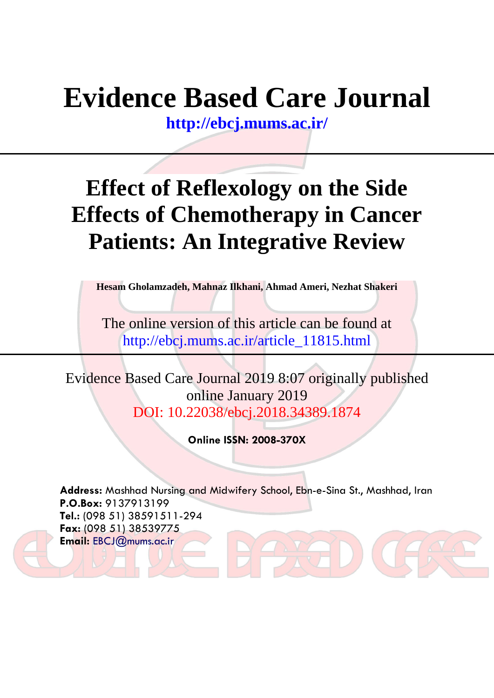# **Evidence Based Care Journal**

**<http://ebcj.mums.ac.ir/>**

## **Effect of Reflexology on the Side Effects of Chemotherapy in Cancer Patients: An Integrative Review**

**Hesam Gholamzadeh, Mahnaz Ilkhani, Ahmad Ameri, Nezhat Shakeri**

The online version of this article can be found at http://ebcj.mums.ac.ir/article\_11815.html

Evidence Based Care Journal 2019 8:07 originally published online January 2019 DOI: 10.22038/ebcj.2018.34389.1874

**Online ISSN: 2008-370X**

**Address:** Mashhad Nursing and Midwifery School, Ebn-e-Sina St., Mashhad, Iran **P.O.Box:** 9137913199 **Tel.:** (098 51) 38591511-294 **Fax:** (098 51) 38539775 **Email:** [EBCJ@mums.ac.ir](mailto:EBCJ@mums.ac.ir)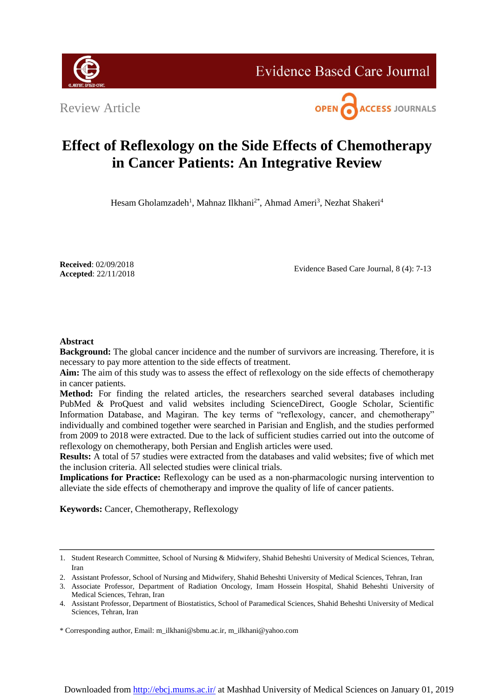

**Evidence Based Care Journal** 

Review Article



### **Effect of Reflexology on the Side Effects of Chemotherapy in Cancer Patients: An Integrative Review**

Hesam Gholamzadeh<sup>1</sup>, Mahnaz Ilkhani<sup>2\*</sup>, Ahmad Ameri<sup>3</sup>, Nezhat Shakeri<sup>4</sup>

**Received**: 02/09/2018 **Accepted**: 22/11/2018

Evidence Based Care Journal, 8 (4): 7-13

#### **Abstract**

**Background:** The global cancer incidence and the number of survivors are increasing. Therefore, it is necessary to pay more attention to the side effects of treatment.

**Aim:** The aim of this study was to assess the effect of reflexology on the side effects of chemotherapy in cancer patients.

**Method:** For finding the related articles, the researchers searched several databases including PubMed & ProQuest and valid websites including ScienceDirect, Google Scholar, Scientific Information Database, and Magiran. The key terms of "reflexology, cancer, and chemotherapy" individually and combined together were searched in Parisian and English, and the studies performed from 2009 to 2018 were extracted. Due to the lack of sufficient studies carried out into the outcome of reflexology on chemotherapy, both Persian and English articles were used.

**Results:** A total of 57 studies were extracted from the databases and valid websites; five of which met the inclusion criteria. All selected studies were clinical trials.

**Implications for Practice:** Reflexology can be used as a non-pharmacologic nursing intervention to alleviate the side effects of chemotherapy and improve the quality of life of cancer patients.

**Keywords:** Cancer, Chemotherapy, Reflexology

<sup>1.</sup> Student Research Committee, School of Nursing & Midwifery, Shahid Beheshti University of Medical Sciences, Tehran, Iran

<sup>2.</sup> Assistant Professor, School of Nursing and Midwifery, Shahid Beheshti University of Medical Sciences, Tehran, Iran

<sup>3.</sup> Associate Professor, Department of Radiation Oncology, Imam Hossein Hospital, Shahid Beheshti University of Medical Sciences, Tehran, Iran

<sup>4.</sup> Assistant Professor, Department of Biostatistics, School of Paramedical Sciences, Shahid Beheshti University of Medical Sciences, Tehran, Iran

<sup>\*</sup> Corresponding author, Email: [m\\_ilkhani@sbmu.ac.ir,](mailto:m_ilkhani@sbmu.ac.ir) m\_ilkhani@yahoo.com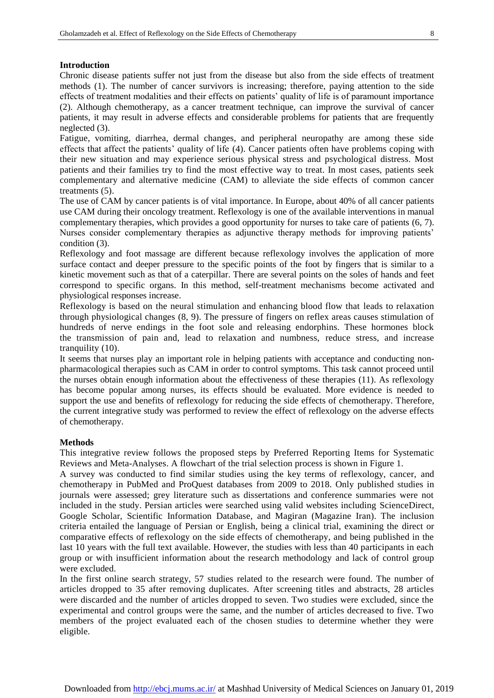#### **Introduction**

Chronic disease patients suffer not just from the disease but also from the side effects of treatment methods (1). The number of cancer survivors is increasing; therefore, paying attention to the side effects of treatment modalities and their effects on patients' quality of life is of paramount importance (2). Although chemotherapy, as a cancer treatment technique, can improve the survival of cancer patients, it may result in adverse effects and considerable problems for patients that are frequently neglected (3).

Fatigue, vomiting, diarrhea, dermal changes, and peripheral neuropathy are among these side effects that affect the patients' quality of life (4). Cancer patients often have problems coping with their new situation and may experience serious physical stress and psychological distress. Most patients and their families try to find the most effective way to treat. In most cases, patients seek complementary and alternative medicine (CAM) to alleviate the side effects of common cancer treatments (5).

The use of CAM by cancer patients is of vital importance. In Europe, about 40% of all cancer patients use CAM during their oncology treatment. Reflexology is one of the available interventions in manual complementary therapies, which provides a good opportunity for nurses to take care of patients (6, 7). Nurses consider complementary therapies as adjunctive therapy methods for improving patients' condition (3).

Reflexology and foot massage are different because reflexology involves the application of more surface contact and deeper pressure to the specific points of the foot by fingers that is similar to a kinetic movement such as that of a caterpillar. There are several points on the soles of hands and feet correspond to specific organs. In this method, self-treatment mechanisms become activated and physiological responses increase.

Reflexology is based on the neural stimulation and enhancing blood flow that leads to relaxation through physiological changes (8, 9). The pressure of fingers on reflex areas causes stimulation of hundreds of nerve endings in the foot sole and releasing endorphins. These hormones block the transmission of pain and, lead to relaxation and numbness, reduce stress, and increase tranquility (10).

It seems that nurses play an important role in helping patients with acceptance and conducting nonpharmacological therapies such as CAM in order to control symptoms. This task cannot proceed until the nurses obtain enough information about the effectiveness of these therapies (11). As reflexology has become popular among nurses, its effects should be evaluated. More evidence is needed to support the use and benefits of reflexology for reducing the side effects of chemotherapy. Therefore, the current integrative study was performed to review the effect of reflexology on the adverse effects of chemotherapy.

#### **Methods**

This integrative review follows the proposed steps by Preferred Reporting Items for Systematic Reviews and Meta-Analyses. A flowchart of the trial selection process is shown in Figure 1.

A survey was conducted to find similar studies using the key terms of reflexology, cancer, and chemotherapy in PubMed and ProQuest databases from 2009 to 2018. Only published studies in journals were assessed; grey literature such as dissertations and conference summaries were not included in the study. Persian articles were searched using valid websites including ScienceDirect, Google Scholar, Scientific Information Database, and Magiran (Magazine Iran). The inclusion criteria entailed the language of Persian or English, being a clinical trial, examining the direct or comparative effects of reflexology on the side effects of chemotherapy, and being published in the last 10 years with the full text available. However, the studies with less than 40 participants in each group or with insufficient information about the research methodology and lack of control group were excluded.

In the first online search strategy, 57 studies related to the research were found. The number of articles dropped to 35 after removing duplicates. After screening titles and abstracts, 28 articles were discarded and the number of articles dropped to seven. Two studies were excluded, since the experimental and control groups were the same, and the number of articles decreased to five. Two members of the project evaluated each of the chosen studies to determine whether they were eligible.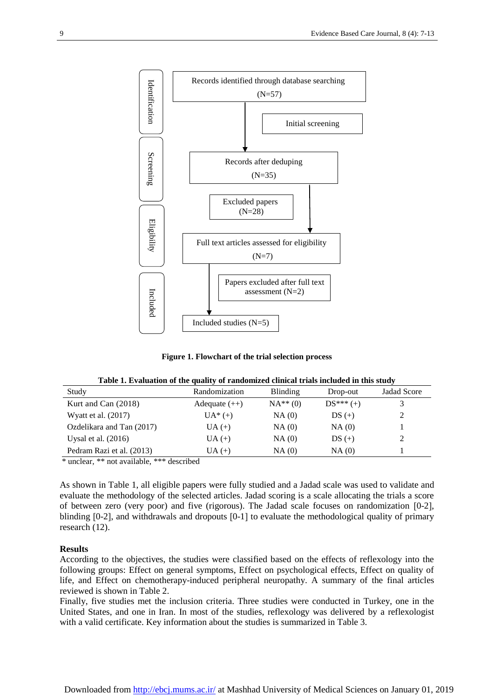

**Figure 1. Flowchart of the trial selection process**

|  |  | Table 1. Evaluation of the quality of randomized clinical trials included in this study |  |  |
|--|--|-----------------------------------------------------------------------------------------|--|--|
|  |  |                                                                                         |  |  |

| Study                          | Randomization   | Blinding  | Drop-out    | <b>Jadad Score</b> |
|--------------------------------|-----------------|-----------|-------------|--------------------|
| Kurt and Can (2018)            | Adequate $(++)$ | $NA**(0)$ | $DS*** (+)$ |                    |
| Wyatt et al. $(2017)$          | $UA^*(+)$       | NA(0)     | $DS (+)$    |                    |
| Ozdelikara and Tan (2017)      | $UA (+)$        | NA(0)     | NA(0)       |                    |
| Uysal et al. $(2016)$          | $UA (+)$        | NA(0)     | $DS (+)$    |                    |
| Pedram Razi et al. (2013)      | $UA (+)$        | NA(0)     | NA(0)       |                    |
| also be also the first<br>$-1$ |                 |           |             |                    |

\* unclear, \*\* not available, \*\*\* described

As shown in Table 1, all eligible papers were fully studied and a Jadad scale was used to validate and evaluate the methodology of the selected articles. Jadad scoring is a scale allocating the trials a score of between zero (very poor) and five (rigorous). The Jadad scale focuses on randomization [0-2], blinding  $[0-2]$ , and withdrawals and dropouts  $[0-1]$  to evaluate the methodological quality of primary research (12).

#### **Results**

According to the objectives, the studies were classified based on the effects of reflexology into the following groups: Effect on general symptoms, Effect on psychological effects, Effect on quality of life, and Effect on chemotherapy-induced peripheral neuropathy. A summary of the final articles reviewed is shown in Table 2.

Finally, five studies met the inclusion criteria. Three studies were conducted in Turkey, one in the United States, and one in Iran. In most of the studies, reflexology was delivered by a reflexologist with a valid certificate. Key information about the studies is summarized in Table 3.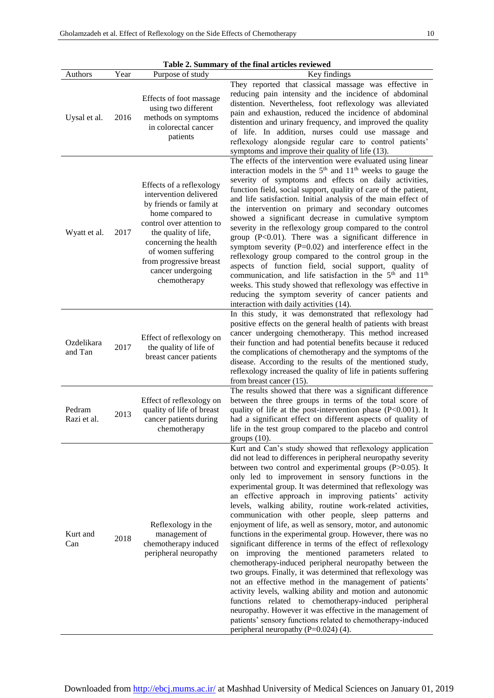| Table 2. Summary of the final articles reviewed |      |                                                                                                                                                                                                                                                                       |                                                                                                                                                                                                                                                                                                                                                                                                                                                                                                                                                                                                                                                                                                                                                                                                                                                                                                                                                                                                                                                                                                               |  |  |  |
|-------------------------------------------------|------|-----------------------------------------------------------------------------------------------------------------------------------------------------------------------------------------------------------------------------------------------------------------------|---------------------------------------------------------------------------------------------------------------------------------------------------------------------------------------------------------------------------------------------------------------------------------------------------------------------------------------------------------------------------------------------------------------------------------------------------------------------------------------------------------------------------------------------------------------------------------------------------------------------------------------------------------------------------------------------------------------------------------------------------------------------------------------------------------------------------------------------------------------------------------------------------------------------------------------------------------------------------------------------------------------------------------------------------------------------------------------------------------------|--|--|--|
| Authors                                         | Year | Purpose of study                                                                                                                                                                                                                                                      | Key findings                                                                                                                                                                                                                                                                                                                                                                                                                                                                                                                                                                                                                                                                                                                                                                                                                                                                                                                                                                                                                                                                                                  |  |  |  |
| Uysal et al.                                    | 2016 | Effects of foot massage<br>using two different<br>methods on symptoms<br>in colorectal cancer<br>patients                                                                                                                                                             | They reported that classical massage was effective in<br>reducing pain intensity and the incidence of abdominal<br>distention. Nevertheless, foot reflexology was alleviated<br>pain and exhaustion, reduced the incidence of abdominal<br>distention and urinary frequency, and improved the quality<br>of life. In addition, nurses could use massage and<br>reflexology alongside regular care to control patients'<br>symptoms and improve their quality of life (13).                                                                                                                                                                                                                                                                                                                                                                                                                                                                                                                                                                                                                                    |  |  |  |
| Wyatt et al.                                    | 2017 | Effects of a reflexology<br>intervention delivered<br>by friends or family at<br>home compared to<br>control over attention to<br>the quality of life,<br>concerning the health<br>of women suffering<br>from progressive breast<br>cancer undergoing<br>chemotherapy | The effects of the intervention were evaluated using linear<br>interaction models in the $5th$ and $11th$ weeks to gauge the<br>severity of symptoms and effects on daily activities,<br>function field, social support, quality of care of the patient,<br>and life satisfaction. Initial analysis of the main effect of<br>the intervention on primary and secondary outcomes<br>showed a significant decrease in cumulative symptom<br>severity in the reflexology group compared to the control<br>group $(P<0.01)$ . There was a significant difference in<br>symptom severity ( $P=0.02$ ) and interference effect in the<br>reflexology group compared to the control group in the<br>aspects of function field, social support, quality of<br>communication, and life satisfaction in the 5 <sup>th</sup> and 11 <sup>th</sup><br>weeks. This study showed that reflexology was effective in<br>reducing the symptom severity of cancer patients and<br>interaction with daily activities (14).                                                                                                       |  |  |  |
| Ozdelikara<br>and Tan                           | 2017 | Effect of reflexology on<br>the quality of life of<br>breast cancer patients                                                                                                                                                                                          | In this study, it was demonstrated that reflexology had<br>positive effects on the general health of patients with breast<br>cancer undergoing chemotherapy. This method increased<br>their function and had potential benefits because it reduced<br>the complications of chemotherapy and the symptoms of the<br>disease. According to the results of the mentioned study,<br>reflexology increased the quality of life in patients suffering<br>from breast cancer (15).                                                                                                                                                                                                                                                                                                                                                                                                                                                                                                                                                                                                                                   |  |  |  |
| Pedram<br>Razi et al.                           | 2013 | Effect of reflexology on<br>quality of life of breast<br>cancer patients during<br>chemotherapy                                                                                                                                                                       | The results showed that there was a significant difference<br>between the three groups in terms of the total score of<br>quality of life at the post-intervention phase (P<0.001). It<br>had a significant effect on different aspects of quality of<br>life in the test group compared to the placebo and control<br>groups $(10)$ .                                                                                                                                                                                                                                                                                                                                                                                                                                                                                                                                                                                                                                                                                                                                                                         |  |  |  |
| Kurt and<br>Can                                 | 2018 | Reflexology in the<br>management of<br>chemotherapy induced<br>peripheral neuropathy                                                                                                                                                                                  | Kurt and Can's study showed that reflexology application<br>did not lead to differences in peripheral neuropathy severity<br>between two control and experimental groups (P>0.05). It<br>only led to improvement in sensory functions in the<br>experimental group. It was determined that reflexology was<br>an effective approach in improving patients' activity<br>levels, walking ability, routine work-related activities,<br>communication with other people, sleep patterns and<br>enjoyment of life, as well as sensory, motor, and autonomic<br>functions in the experimental group. However, there was no<br>significant difference in terms of the effect of reflexology<br>on improving the mentioned parameters related to<br>chemotherapy-induced peripheral neuropathy between the<br>two groups. Finally, it was determined that reflexology was<br>not an effective method in the management of patients'<br>activity levels, walking ability and motion and autonomic<br>functions related to chemotherapy-induced peripheral<br>neuropathy. However it was effective in the management of |  |  |  |

patients' sensory functions related to chemotherapy-induced

peripheral neuropathy  $(P=0.024)$  (4).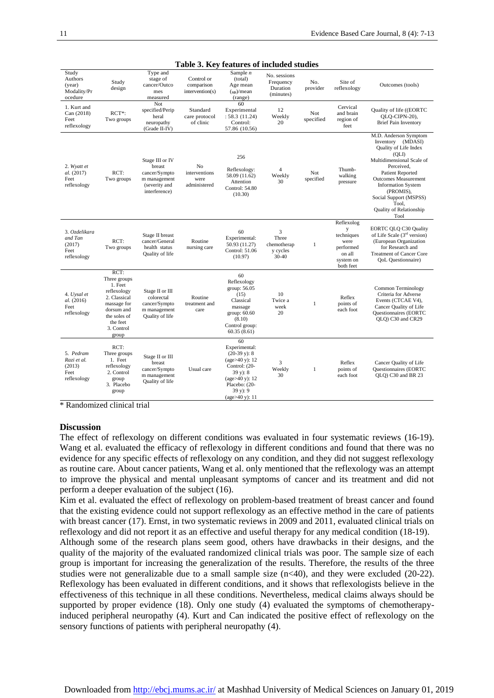| Study<br>Authors<br>(year)<br>Modality/Pr<br>ocedure      | Study<br>design                                                                                                                                | Type and<br>stage of<br>cancer/Outco<br>mes<br>measured                                      | Control or<br>comparison<br>intervention(s) | Sample $n$<br>(total)<br>Age mean<br>$(s_D)/mean$<br>(range)                                                                                                     | No. sessions<br>Frequency<br>Duration<br>(minutes) | No.<br>provider  | Site of<br>reflexology                                                            | Outcomes (tools)                                                                                                                                                                                                                                                                                  |
|-----------------------------------------------------------|------------------------------------------------------------------------------------------------------------------------------------------------|----------------------------------------------------------------------------------------------|---------------------------------------------|------------------------------------------------------------------------------------------------------------------------------------------------------------------|----------------------------------------------------|------------------|-----------------------------------------------------------------------------------|---------------------------------------------------------------------------------------------------------------------------------------------------------------------------------------------------------------------------------------------------------------------------------------------------|
| 1. Kurt and<br>Can (2018)<br>Feet<br>reflexology          | $RCT^*$ :<br>Two groups                                                                                                                        | Not<br>specified/Perip<br>heral<br>neuropathy<br>(Grade II-IV)                               | Standard<br>care protocol<br>of clinic      | 60<br>Experimental<br>: 58.3(11.24)<br>Control:<br>57.86 (10.56)                                                                                                 | 12<br>Weekly<br>20                                 | Not<br>specified | Cervical<br>and brain<br>region of<br>feet                                        | Quality of life ((EORTC<br>OLO-CIPN-20),<br><b>Brief Pain Inventory</b>                                                                                                                                                                                                                           |
| 2. Wyatt et<br>al. (2017)<br>Feet<br>reflexology          | RCT:<br>Two groups                                                                                                                             | Stage III or IV<br>breast<br>cancer/Sympto<br>m management<br>(severity and<br>interference) | No<br>interventions<br>were<br>administered | 256<br>Reflexology:<br>58.09 (11.62)<br>Attention<br>Control: 54.80<br>(10.30)                                                                                   | $\overline{\mathbf{4}}$<br>Weekly<br>30            | Not<br>specified | Thumb-<br>walking<br>pressure                                                     | M.D. Anderson Symptom<br>Inventory (MDASI)<br>Quality of Life Index<br>(OLI)<br>Multidimensional Scale of<br>Perceived,<br><b>Patient Reported</b><br><b>Outcomes Measurement</b><br><b>Information System</b><br>(PROMIS),<br>Social Support (MSPSS)<br>Tool,<br>Quality of Relationship<br>Tool |
| 3. Ozdelikara<br>and Tan<br>(2017)<br>Feet<br>reflexology | RCT:<br>Two groups                                                                                                                             | Stage II breast<br>cancer/General<br>health status<br>Quality of life                        | Routine<br>nursing care                     | 60<br>Experimental:<br>50.93 (11.27)<br>Control: 51.06<br>(10.97)                                                                                                | 3<br>Three<br>chemotherap<br>y cycles<br>30-40     | 1                | Reflexolog<br>techniques<br>were<br>performed<br>on all<br>system on<br>both feet | EORTC QLQ C30 Quality<br>of Life Scale (3rd version)<br>(European Organization<br>for Research and<br><b>Treatment of Cancer Core</b><br><b>QoL</b> Questionnaire)                                                                                                                                |
| 4. Uysal et<br>al. (2016)<br>Feet<br>reflexology          | RCT:<br>Three groups<br>1. Feet<br>reflexology<br>2. Classical<br>massage for<br>dorsum and<br>the soles of<br>the feet<br>3. Control<br>group | Stage II or III<br>colorectal<br>cancer/Sympto<br>m management<br>Quality of life            | Routine<br>treatment and<br>care            | 60<br>Reflexology<br>group: 56.05<br>(15)<br>Classical<br>massage<br>group: 60.60<br>(8.10)<br>Control group:<br>60.35(8.61)                                     | 10<br>Twice a<br>week<br>20                        | $\mathbf{1}$     | Reflex<br>points of<br>each foot                                                  | Common Terminology<br>Criteria for Adverse<br>Events (CTCAE V4),<br>Cancer Quality of Life<br><b>Questionnaires</b> (EORTC<br>QLQ) C30 and CR29                                                                                                                                                   |
| 5. Pedram<br>Razi et al.<br>(2013)<br>Feet<br>reflexology | RCT:<br>Three groups<br>1. Feet<br>reflexology<br>2. Control<br>group<br>3. Placebo<br>group                                                   | Stage II or III<br>breast<br>cancer/Sympto<br>m management<br>Quality of life                | Usual care                                  | 60<br>Experimental:<br>$(20-39 \text{ y})$ : 8<br>(age>40 y): 12<br>Control: (20-<br>$39 y$ : 8<br>(age>40 y): 12<br>Placebo: (20-<br>39 y): 9<br>(age>40 y): 11 | 3<br>Weekly<br>30                                  | $\mathbf{1}$     | Reflex<br>points of<br>each foot                                                  | Cancer Quality of Life<br><b>Questionnaires</b> (EORTC<br>QLQ) C30 and BR 23                                                                                                                                                                                                                      |

**Table 3. Key features of included studies**

\* Randomized clinical trial

#### **Discussion**

The effect of reflexology on different conditions was evaluated in four systematic reviews (16-19). Wang et al. evaluated the efficacy of reflexology in different conditions and found that there was no evidence for any specific effects of reflexology on any condition, and they did not suggest reflexology as routine care. About cancer patients, Wang et al. only mentioned that the reflexology was an attempt to improve the physical and mental unpleasant symptoms of cancer and its treatment and did not perform a deeper evaluation of the subject (16).

Kim et al. evaluated the effect of reflexology on problem-based treatment of breast cancer and found that the existing evidence could not support reflexology as an effective method in the care of patients with breast cancer (17). Ernst, in two systematic reviews in 2009 and 2011, evaluated clinical trials on reflexology and did not report it as an effective and useful therapy for any medical condition (18-19).

Although some of the research plans seem good, others have drawbacks in their designs, and the quality of the majority of the evaluated randomized clinical trials was poor. The sample size of each group is important for increasing the generalization of the results. Therefore, the results of the three studies were not generalizable due to a small sample size (n<40), and they were excluded (20-22). Reflexology has been evaluated in different conditions, and it shows that reflexologists believe in the effectiveness of this technique in all these conditions. Nevertheless, medical claims always should be supported by proper evidence (18). Only one study (4) evaluated the symptoms of chemotherapyinduced peripheral neuropathy (4). Kurt and Can indicated the positive effect of reflexology on the sensory functions of patients with peripheral neuropathy (4).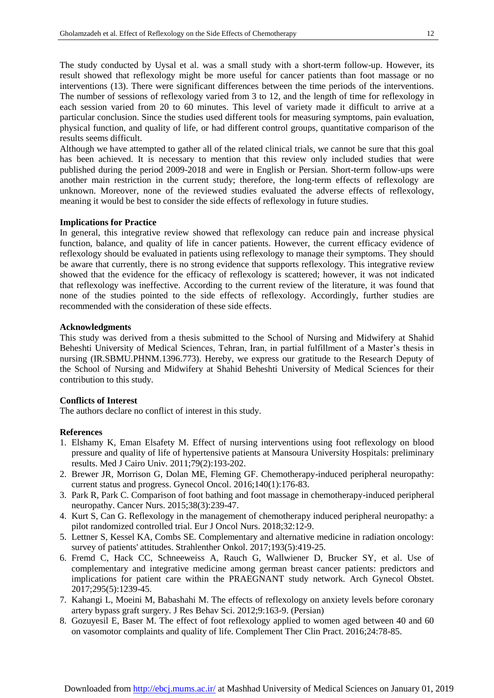The study conducted by Uysal et al. was a small study with a short-term follow-up. However, its result showed that reflexology might be more useful for cancer patients than foot massage or no interventions (13). There were significant differences between the time periods of the interventions. The number of sessions of reflexology varied from 3 to 12, and the length of time for reflexology in each session varied from 20 to 60 minutes. This level of variety made it difficult to arrive at a particular conclusion. Since the studies used different tools for measuring symptoms, pain evaluation, physical function, and quality of life, or had different control groups, quantitative comparison of the results seems difficult.

Although we have attempted to gather all of the related clinical trials, we cannot be sure that this goal has been achieved. It is necessary to mention that this review only included studies that were published during the period 2009-2018 and were in English or Persian. Short-term follow-ups were another main restriction in the current study; therefore, the long-term effects of reflexology are unknown. Moreover, none of the reviewed studies evaluated the adverse effects of reflexology, meaning it would be best to consider the side effects of reflexology in future studies.

#### **Implications for Practice**

In general, this integrative review showed that reflexology can reduce pain and increase physical function, balance, and quality of life in cancer patients. However, the current efficacy evidence of reflexology should be evaluated in patients using reflexology to manage their symptoms. They should be aware that currently, there is no strong evidence that supports reflexology. This integrative review showed that the evidence for the efficacy of reflexology is scattered; however, it was not indicated that reflexology was ineffective. According to the current review of the literature, it was found that none of the studies pointed to the side effects of reflexology. Accordingly, further studies are recommended with the consideration of these side effects.

#### **Acknowledgments**

This study was derived from a thesis submitted to the School of Nursing and Midwifery at Shahid Beheshti University of Medical Sciences, Tehran, Iran, in partial fulfillment of a Master's thesis in nursing (IR.SBMU.PHNM.1396.773). Hereby, we express our gratitude to the Research Deputy of the School of Nursing and Midwifery at Shahid Beheshti University of Medical Sciences for their contribution to this study.

#### **Conflicts of Interest**

The authors declare no conflict of interest in this study.

#### **References**

- 1. Elshamy K, Eman Elsafety M. Effect of nursing interventions using foot reflexology on blood pressure and quality of life of hypertensive patients at Mansoura University Hospitals: preliminary results. Med J Cairo Univ. 2011;79(2):193-202.
- 2. Brewer JR, Morrison G, Dolan ME, Fleming GF. Chemotherapy-induced peripheral neuropathy: current status and progress. Gynecol Oncol. 2016;140(1):176-83.
- 3. Park R, Park C. Comparison of foot bathing and foot massage in chemotherapy-induced peripheral neuropathy. Cancer Nurs. 2015;38(3):239-47.
- 4. Kurt S, Can G. Reflexology in the management of chemotherapy induced peripheral neuropathy: a pilot randomized controlled trial. Eur J Oncol Nurs. 2018;32:12-9.
- 5. Lettner S, Kessel KA, Combs SE. Complementary and alternative medicine in radiation oncology: survey of patients' attitudes. Strahlenther Onkol. 2017;193(5):419-25.
- 6. Fremd C, Hack CC, Schneeweiss A, Rauch G, Wallwiener D, Brucker SY, et al. Use of complementary and integrative medicine among german breast cancer patients: predictors and implications for patient care within the PRAEGNANT study network. Arch Gynecol Obstet. 2017;295(5):1239-45.
- 7. Kahangi L, Moeini M, Babashahi M. The effects of reflexology on anxiety levels before coronary artery bypass graft surgery. J Res Behav Sci. 2012;9:163-9. (Persian)
- 8. Gozuyesil E, Baser M. The effect of foot reflexology applied to women aged between 40 and 60 on vasomotor complaints and quality of life. Complement Ther Clin Pract. 2016;24:78-85.